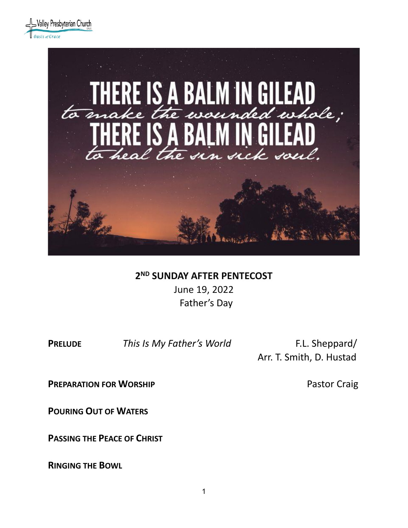



# **2 ND SUNDAY AFTER PENTECOST** June 19, 2022 Father's Day

**PRELUDE** *This Is My Father's World* F.L. Sheppard/

Arr. T. Smith, D. Hustad

**PREPARATION FOR WORSHIP** Pastor Craig

**POURING OUT OF WATERS**

**PASSING THE PEACE OF CHRIST**

**RINGING THE BOWL**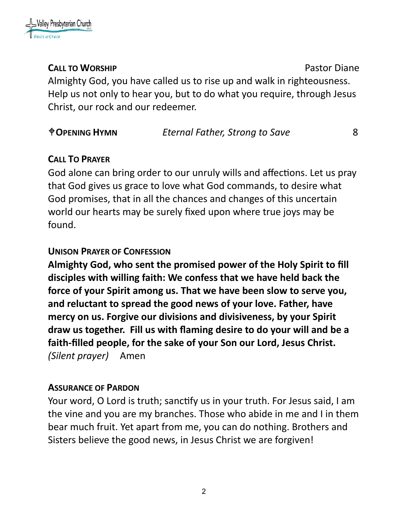

#### **CALL TO WORSHIP** Pastor Diane

Almighty God, you have called us to rise up and walk in righteousness. Help us not only to hear you, but to do what you require, through Jesus Christ, our rock and our redeemer.

| <b><i><u>OPENING HYMN</u></i></b> | Eternal Father, Strong to Save | 8 |
|-----------------------------------|--------------------------------|---|
|                                   |                                |   |

#### **CALL TO PRAYER**

God alone can bring order to our unruly wills and affections. Let us pray that God gives us grace to love what God commands, to desire what God promises, that in all the chances and changes of this uncertain world our hearts may be surely fixed upon where true joys may be found.

#### **UNISON PRAYER OF CONFESSION**

**Almighty God, who sent the promised power of the Holy Spirit to fill disciples with willing faith: We confess that we have held back the force of your Spirit among us. That we have been slow to serve you, and reluctant to spread the good news of your love. Father, have mercy on us. Forgive our divisions and divisiveness, by your Spirit draw us together. Fill us with flaming desire to do your will and be a faith-filled people, for the sake of your Son our Lord, Jesus Christ.** *(Silent prayer)* Amen

#### **ASSURANCE OF PARDON**

Your word, O Lord is truth; sanctify us in your truth. For Jesus said, I am the vine and you are my branches. Those who abide in me and I in them bear much fruit. Yet apart from me, you can do nothing. Brothers and Sisters believe the good news, in Jesus Christ we are forgiven!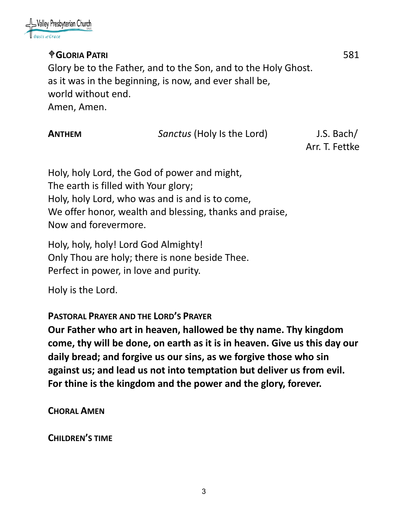

### **GLORIA PATRI** 581

Glory be to the Father, and to the Son, and to the Holy Ghost. as it was in the beginning, is now, and ever shall be, world without end. Amen, Amen.

| <b>ANTHEM</b> | Sanctus (Holy Is the Lord) | J.S. Bach/ |
|---------------|----------------------------|------------|
|               |                            |            |

Arr. T. Fettke

Holy, holy Lord, the God of power and might, The earth is filled with Your glory; Holy, holy Lord, who was and is and is to come, We offer honor, wealth and blessing, thanks and praise, Now and forevermore.

Holy, holy, holy! Lord God Almighty! Only Thou are holy; there is none beside Thee. Perfect in power, in love and purity.

Holy is the Lord.

**PASTORAL PRAYER AND THE LORD'S PRAYER**

**Our Father who art in heaven, hallowed be thy name. Thy kingdom come, thy will be done, on earth as it is in heaven. Give us this day our daily bread; and forgive us our sins, as we forgive those who sin against us; and lead us not into temptation but deliver us from evil. For thine is the kingdom and the power and the glory, forever.** 

**CHORAL AMEN**

**CHILDREN'S TIME**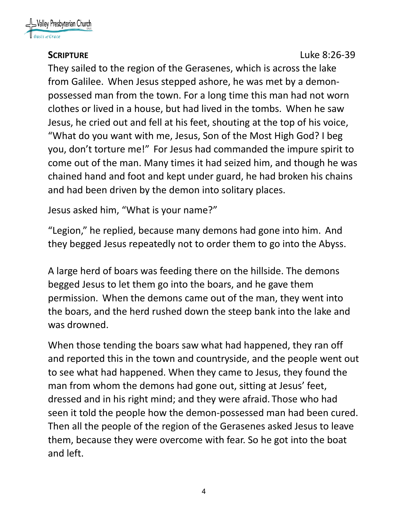

**SCRIPTURE** Luke 8:26-39

They sailed to the region of the Gerasenes, which is across the lake from Galilee. When Jesus stepped ashore, he was met by a demonpossessed man from the town. For a long time this man had not worn clothes or lived in a house, but had lived in the tombs. When he saw Jesus, he cried out and fell at his feet, shouting at the top of his voice, "What do you want with me, Jesus, Son of the Most High God? I beg you, don't torture me!" For Jesus had commanded the impure spirit to come out of the man. Many times it had seized him, and though he was chained hand and foot and kept under guard, he had broken his chains and had been driven by the demon into solitary places.

Jesus asked him, "What is your name?"

"Legion," he replied, because many demons had gone into him. And they begged Jesus repeatedly not to order them to go into the Abyss.

A large herd of boars was feeding there on the hillside. The demons begged Jesus to let them go into the boars, and he gave them permission. When the demons came out of the man, they went into the boars, and the herd rushed down the steep bank into the lake and was drowned.

When those tending the boars saw what had happened, they ran off and reported this in the town and countryside, and the people went out to see what had happened. When they came to Jesus, they found the man from whom the demons had gone out, sitting at Jesus' feet, dressed and in his right mind; and they were afraid. Those who had seen it told the people how the demon-possessed man had been cured. Then all the people of the region of the Gerasenes asked Jesus to leave them, because they were overcome with fear. So he got into the boat and left.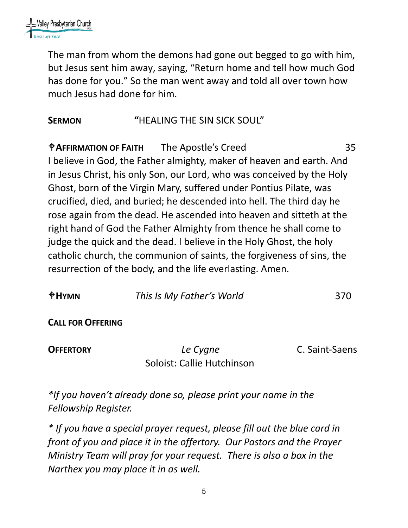

The man from whom the demons had gone out begged to go with him, but Jesus sent him away, saying, "Return home and tell how much God has done for you." So the man went away and told all over town how much Jesus had done for him.

## **SERMON "**HEALING THE SIN SICK SOUL"

**AFFIRMATION OF FAITH** The Apostle's Creed 35 I believe in God, the Father almighty, maker of heaven and earth. And in Jesus Christ, his only Son, our Lord, who was conceived by the Holy Ghost, born of the Virgin Mary, suffered under Pontius Pilate, was crucified, died, and buried; he descended into hell. The third day he rose again from the dead. He ascended into heaven and sitteth at the right hand of God the Father Almighty from thence he shall come to judge the quick and the dead. I believe in the Holy Ghost, the holy catholic church, the communion of saints, the forgiveness of sins, the resurrection of the body, and the life everlasting. Amen.

| $\triangle$ HYMN | This Is My Father's World | 370 |
|------------------|---------------------------|-----|
|                  |                           |     |

**CALL FOR OFFERING**

**OFFERTORY** *Le Cygne* C. Saint-SaensSoloist: Callie Hutchinson

*\*If you haven't already done so, please print your name in the Fellowship Register.*

*\* If you have a special prayer request, please fill out the blue card in front of you and place it in the offertory. Our Pastors and the Prayer Ministry Team will pray for your request. There is also a box in the Narthex you may place it in as well.*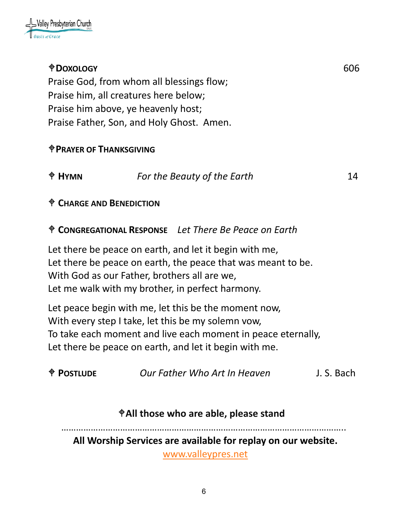

# **DOXOLOGY** 606 Praise God, from whom all blessings flow; Praise him, all creatures here below; Praise him above, ye heavenly host; Praise Father, Son, and Holy Ghost. Amen.

#### **PRAYER OF THANKSGIVING**

**HYMN** *For the Beauty of the Earth* 14

#### **CHARGE AND BENEDICTION**

#### **CONGREGATIONAL RESPONSE** *Let There Be Peace on Earth*

Let there be peace on earth, and let it begin with me, Let there be peace on earth, the peace that was meant to be. With God as our Father, brothers all are we, Let me walk with my brother, in perfect harmony.

Let peace begin with me, let this be the moment now, With every step I take, let this be my solemn vow, To take each moment and live each moment in peace eternally, Let there be peace on earth, and let it begin with me.

| <b><i><u>ODSTLUDE</u></i></b> | Our Father Who Art In Heaven | J. S. Bach |
|-------------------------------|------------------------------|------------|
|-------------------------------|------------------------------|------------|

#### **All those who are able, please stand**

……………………………………………………………………………………………………..

**All Worship Services are available for replay on our website.** 

[www.valleypres.net](http://www.valleypres.net/)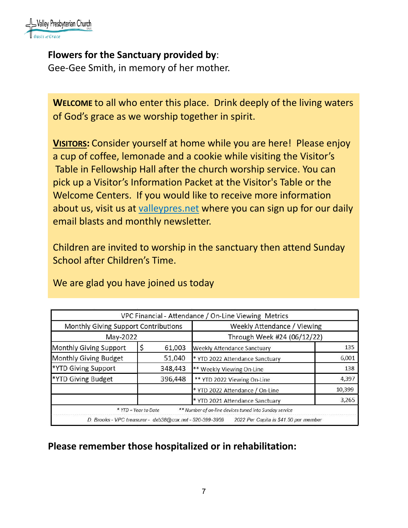

### **Flowers for the Sanctuary provided by**:

Gee-Gee Smith, in memory of her mother.

**WELCOME** to all who enter this place. Drink deeply of the living waters of God's grace as we worship together in spirit.

**VISITORS:** Consider yourself at home while you are here! Please enjoy a cup of coffee, lemonade and a cookie while visiting the Visitor's Table in Fellowship Hall after the church worship service. You can pick up a Visitor's Information Packet at the Visitor's Table or the Welcome Centers. If you would like to receive more information about us, visit us at [valleypres.net](http://valleypres.net/) where you can sign up for our daily email blasts and monthly newsletter.

Children are invited to worship in the sanctuary then attend Sunday School after Children's Time.

|                                                          |                      |                             | VPC Financial - Attendance / On-Line Viewing Metrics   |        |
|----------------------------------------------------------|----------------------|-----------------------------|--------------------------------------------------------|--------|
| Monthly Giving Support Contributions                     |                      | Weekly Attendance / Viewing |                                                        |        |
| May-2022                                                 |                      | Through Week #24 (06/12/22) |                                                        |        |
| Monthly Giving Support                                   |                      | 61,003                      | Weekly Attendance Sanctuary                            | 135    |
| Monthly Giving Budget                                    |                      | 51,040                      | * YTD 2022 Attendance Sanctuary                        | 6,001  |
| *YTD Giving Support                                      |                      | 348,443                     | ** Weekly Viewing On-Line                              | 138    |
| *YTD Giving Budget                                       |                      | 396,448                     | ** YTD 2022 Viewing On-Line                            | 4,397  |
|                                                          |                      |                             | * YTD 2022 Attendance / On-Line                        | 10,399 |
|                                                          |                      |                             | * YTD 2021 Attendance Sanctuary                        | 3,265  |
|                                                          | * YTD = Year to Date |                             | ** Number of on-line devices tuned into Sunday service |        |
| D. Brooks - VPC treasurer - dxb38@cox.net - 520-399-3959 |                      |                             | 2022 Per Capita is \$41.50 per member                  |        |

We are glad you have joined us today

**Please remember those hospitalized or in rehabilitation:**